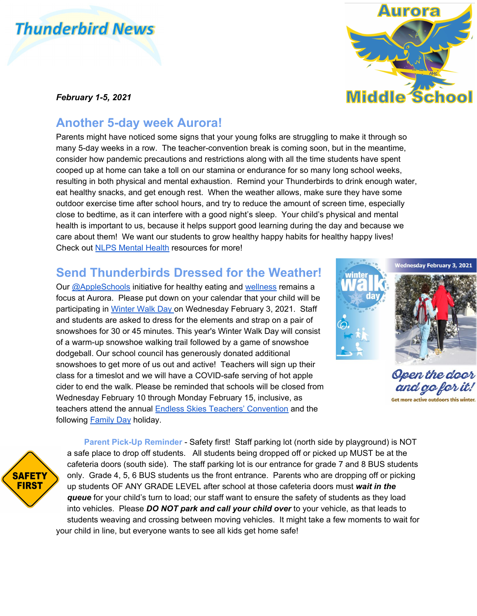## **Thunderbird News**

## *February 1-5, 2021*

## **Another 5-day week Aurora!**

Parents might have noticed some signs that your young folks are struggling to make it through so many 5-day weeks in a row. The teacher-convention break is coming soon, but in the meantime, consider how pandemic precautions and restrictions along with all the time students have spent cooped up at home can take a toll on our stamina or endurance for so many long school weeks, resulting in both physical and mental exhaustion. Remind your Thunderbirds to drink enough water, eat healthy snacks, and get enough rest. When the weather allows, make sure they have some outdoor exercise time after school hours, and try to reduce the amount of screen time, especially close to bedtime, as it can interfere with a good night's sleep. Your child's physical and mental health is important to us, because it helps support good learning during the day and because we care about them! We want our students to grow healthy happy habits for healthy happy lives! Check out [NLPS Mental Health](https://www.nlpsab.ca/mental-health) resources for more!

## **Send Thunderbirds Dressed for the Weather!**

Our [@AppleSchools](http://www.appleschools.ca/) initiative for healthy eating and [wellness](https://www.nlpsab.ca/mental-health) remains a focus at Aurora. Please put down on your calendar that your child will be participating in [Winter Walk Day o](https://shapeab.com/winter-walk-day/)n Wednesday February 3, 2021. Staff and students are asked to dress for the elements and strap on a pair of snowshoes for 30 or 45 minutes. This year's Winter Walk Day will consist of a warm-up snowshoe walking trail followed by a game of snowshoe dodgeball. Our school council has generously donated additional snowshoes to get more of us out and active! Teachers will sign up their class for a timeslot and we will have a COVID-safe serving of hot apple cider to end the walk. Please be reminded that schools will be closed from Wednesday February 10 through Monday February 15, inclusive, as teachers attend the annual [Endless Skies Teachers' Convention](https://estca.teachers.ab.ca/pages/home.aspx) and the following [Family Day](https://www.laclabichecounty.com/Home/Components/Calendar/Event/2842/19?curm=2&cury=2021) holiday.

Open the door and go for it. Get more active outdoors this

**SAFETY FIRST** 

**Parent Pick-Up Reminder** - Safety first! Staff parking lot (north side by playground) is NOT a safe place to drop off students. All students being dropped off or picked up MUST be at the cafeteria doors (south side). The staff parking lot is our entrance for grade 7 and 8 BUS students only. Grade 4, 5, 6 BUS students us the front entrance. Parents who are dropping off or picking up students OF ANY GRADE LEVEL after school at those cafeteria doors must *wait in the queue* for your child's turn to load; our staff want to ensure the safety of students as they load into vehicles. Please *DO NOT park and call your child over* to your vehicle, as that leads to students weaving and crossing between moving vehicles. It might take a few moments to wait for your child in line, but everyone wants to see all kids get home safe!